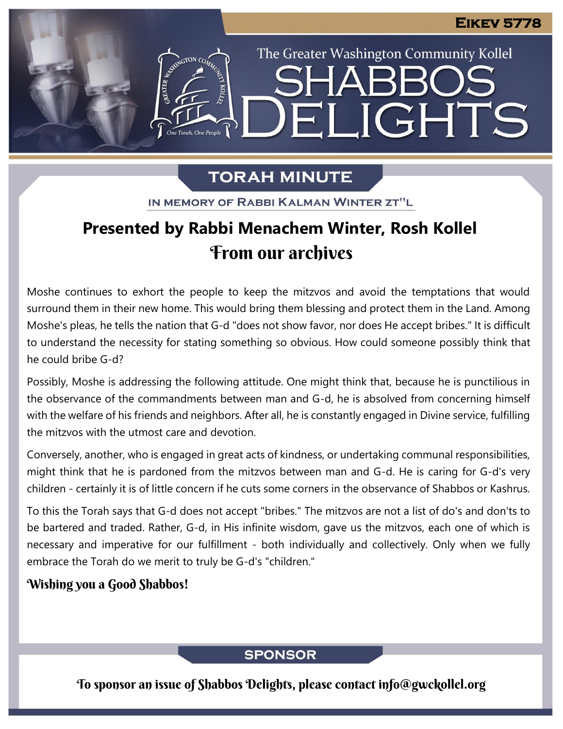The Greater Washington Community Kollel

ELIGHTS

## **TORAH MINUTE**

IN MEMORY OF RABBI KALMAN WINTER ZT"L

## **Presented by Rabbi Menachem Winter, Rosh Kollel** From our archives

Moshe continues to exhort the people to keep the mitzvos and avoid the temptations that would surround them in their new home. This would bring them blessing and protect them in the Land. Among Moshe's pleas, he tells the nation that G-d "does not show favor, nor does He accept bribes." It is difficult to understand the necessity for stating something so obvious. How could someone possibly think that he could bribe G-d?

Possibly, Moshe is addressing the following attitude. One might think that, because he is punctilious in the observance of the commandments between man and G-d, he is absolved from concerning himself with the welfare of his friends and neighbors. After all, he is constantly engaged in Divine service, fulfilling the mitzvos with the utmost care and devotion.

Conversely, another, who is engaged in great acts of kindness, or undertaking communal responsibilities, might think that he is pardoned from the mitzvos between man and G-d. He is caring for G-d's very children - certainly it is of little concern if he cuts some corners in the observance of Shabbos or Kashrus.

To this the Torah says that G-d does not accept "bribes." The mitzvos are not a list of do's and don'ts to be bartered and traded. Rather, G-d, in His infinite wisdom, gave us the mitzvos, each one of which is necessary and imperative for our fulfillment - both individually and collectively. Only when we fully embrace the Torah do we merit to truly be G-d's "children."

### Wishing you a Good Shabbos!

### **SPONSOR**

To sponsor an issue of Shabbos Delights, please contact info@gwckollel.org